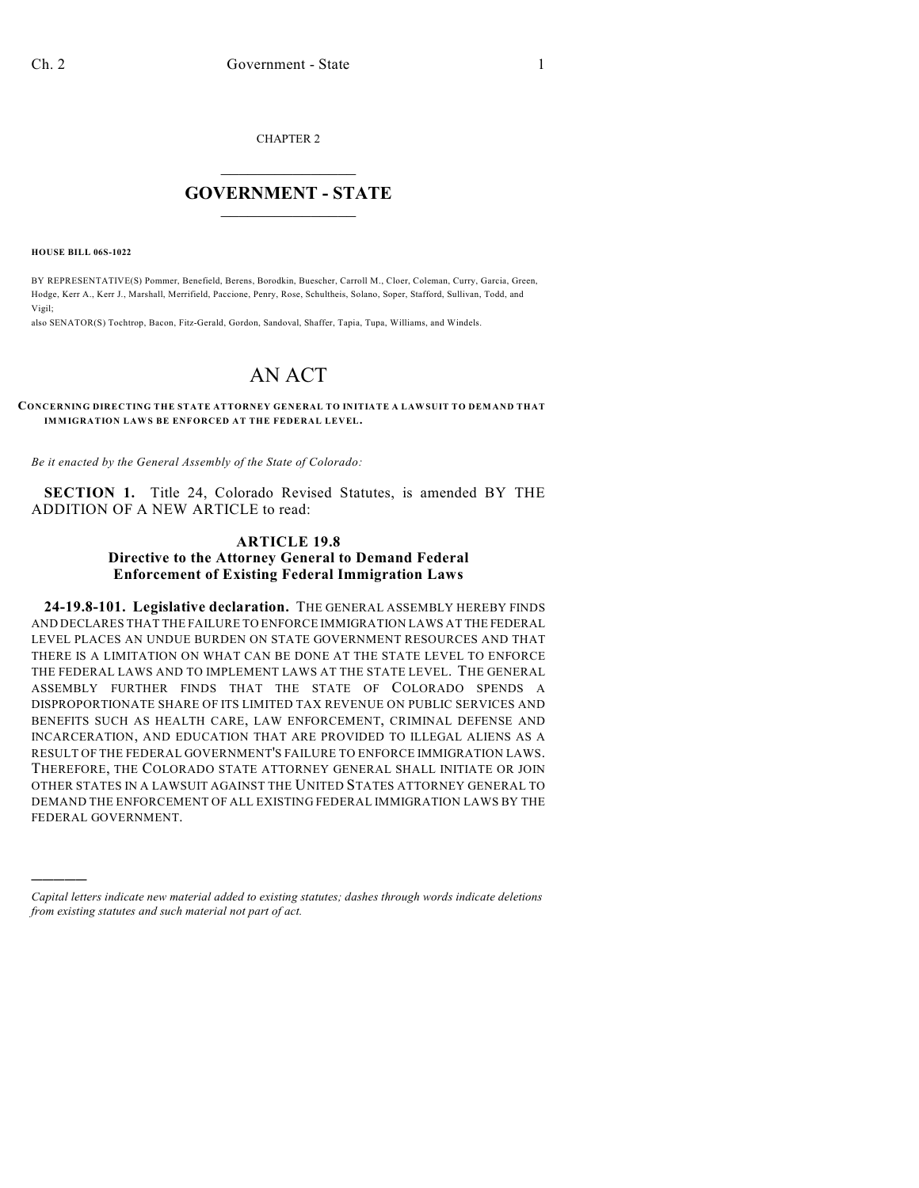CHAPTER 2

## $\mathcal{L}_\text{max}$  . The set of the set of the set of the set of the set of the set of the set of the set of the set of the set of the set of the set of the set of the set of the set of the set of the set of the set of the set **GOVERNMENT - STATE**  $\_$   $\_$

**HOUSE BILL 06S-1022**

)))))

BY REPRESENTATIVE(S) Pommer, Benefield, Berens, Borodkin, Buescher, Carroll M., Cloer, Coleman, Curry, Garcia, Green, Hodge, Kerr A., Kerr J., Marshall, Merrifield, Paccione, Penry, Rose, Schultheis, Solano, Soper, Stafford, Sullivan, Todd, and Vigil;

also SENATOR(S) Tochtrop, Bacon, Fitz-Gerald, Gordon, Sandoval, Shaffer, Tapia, Tupa, Williams, and Windels.

## AN ACT

## **CONCERNING DIRECTING THE STATE ATTORNEY GENERAL TO INITIATE A LAWSUIT TO DEMAND THAT IMMIGRATION LAWS BE ENFORCED AT THE FEDERAL LEVEL.**

*Be it enacted by the General Assembly of the State of Colorado:*

**SECTION 1.** Title 24, Colorado Revised Statutes, is amended BY THE ADDITION OF A NEW ARTICLE to read:

## **ARTICLE 19.8 Directive to the Attorney General to Demand Federal Enforcement of Existing Federal Immigration Laws**

**24-19.8-101. Legislative declaration.** THE GENERAL ASSEMBLY HEREBY FINDS AND DECLARES THAT THE FAILURE TO ENFORCE IMMIGRATION LAWS AT THE FEDERAL LEVEL PLACES AN UNDUE BURDEN ON STATE GOVERNMENT RESOURCES AND THAT THERE IS A LIMITATION ON WHAT CAN BE DONE AT THE STATE LEVEL TO ENFORCE THE FEDERAL LAWS AND TO IMPLEMENT LAWS AT THE STATE LEVEL. THE GENERAL ASSEMBLY FURTHER FINDS THAT THE STATE OF COLORADO SPENDS A DISPROPORTIONATE SHARE OF ITS LIMITED TAX REVENUE ON PUBLIC SERVICES AND BENEFITS SUCH AS HEALTH CARE, LAW ENFORCEMENT, CRIMINAL DEFENSE AND INCARCERATION, AND EDUCATION THAT ARE PROVIDED TO ILLEGAL ALIENS AS A RESULT OF THE FEDERAL GOVERNMENT'S FAILURE TO ENFORCE IMMIGRATION LAWS. THEREFORE, THE COLORADO STATE ATTORNEY GENERAL SHALL INITIATE OR JOIN OTHER STATES IN A LAWSUIT AGAINST THE UNITED STATES ATTORNEY GENERAL TO DEMAND THE ENFORCEMENT OF ALL EXISTING FEDERAL IMMIGRATION LAWS BY THE FEDERAL GOVERNMENT.

*Capital letters indicate new material added to existing statutes; dashes through words indicate deletions from existing statutes and such material not part of act.*